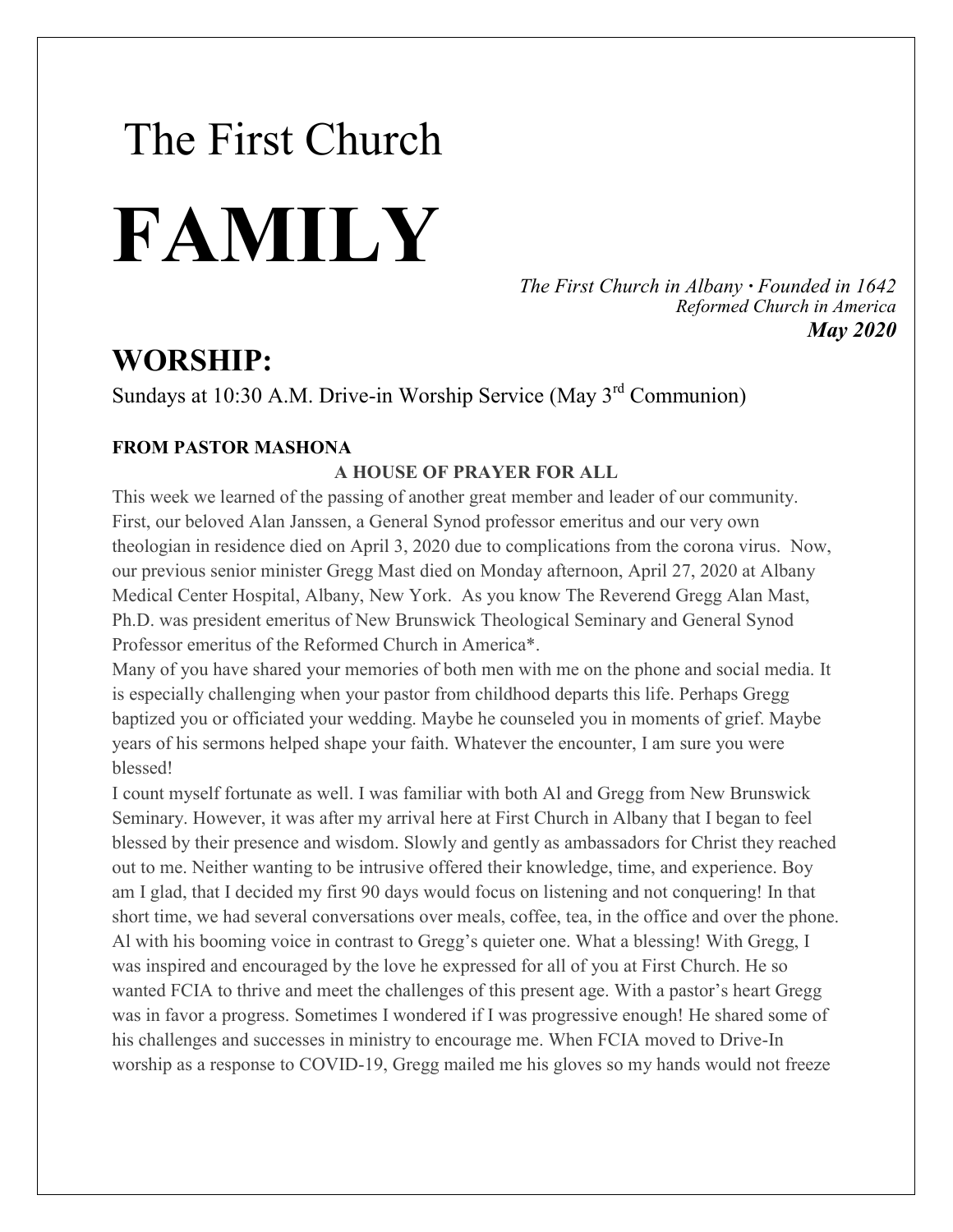# The First Church **FAMILY**

*The First Church in Albany · Founded in 1642 Reformed Church in America May 2020*

### **WORSHIP:**

Sundays at 10:30 A.M. Drive-in Worship Service (May 3<sup>rd</sup> Communion)

#### **FROM PASTOR MASHONA**

#### **A HOUSE OF PRAYER FOR ALL**

This week we learned of the passing of another great member and leader of our community. First, our beloved Alan Janssen, a General Synod professor emeritus and our very own theologian in residence died on April 3, 2020 due to complications from the corona virus. Now, our previous senior minister Gregg Mast died on Monday afternoon, April 27, 2020 at Albany Medical Center Hospital, Albany, New York. As you know The Reverend Gregg Alan Mast, Ph.D. was president emeritus of New Brunswick Theological Seminary and General Synod Professor emeritus of the Reformed Church in America\*.

Many of you have shared your memories of both men with me on the phone and social media. It is especially challenging when your pastor from childhood departs this life. Perhaps Gregg baptized you or officiated your wedding. Maybe he counseled you in moments of grief. Maybe years of his sermons helped shape your faith. Whatever the encounter, I am sure you were blessed!

I count myself fortunate as well. I was familiar with both Al and Gregg from New Brunswick Seminary. However, it was after my arrival here at First Church in Albany that I began to feel blessed by their presence and wisdom. Slowly and gently as ambassadors for Christ they reached out to me. Neither wanting to be intrusive offered their knowledge, time, and experience. Boy am I glad, that I decided my first 90 days would focus on listening and not conquering! In that short time, we had several conversations over meals, coffee, tea, in the office and over the phone. Al with his booming voice in contrast to Gregg's quieter one. What a blessing! With Gregg, I was inspired and encouraged by the love he expressed for all of you at First Church. He so wanted FCIA to thrive and meet the challenges of this present age. With a pastor's heart Gregg was in favor a progress. Sometimes I wondered if I was progressive enough! He shared some of his challenges and successes in ministry to encourage me. When FCIA moved to Drive-In worship as a response to COVID-19, Gregg mailed me his gloves so my hands would not freeze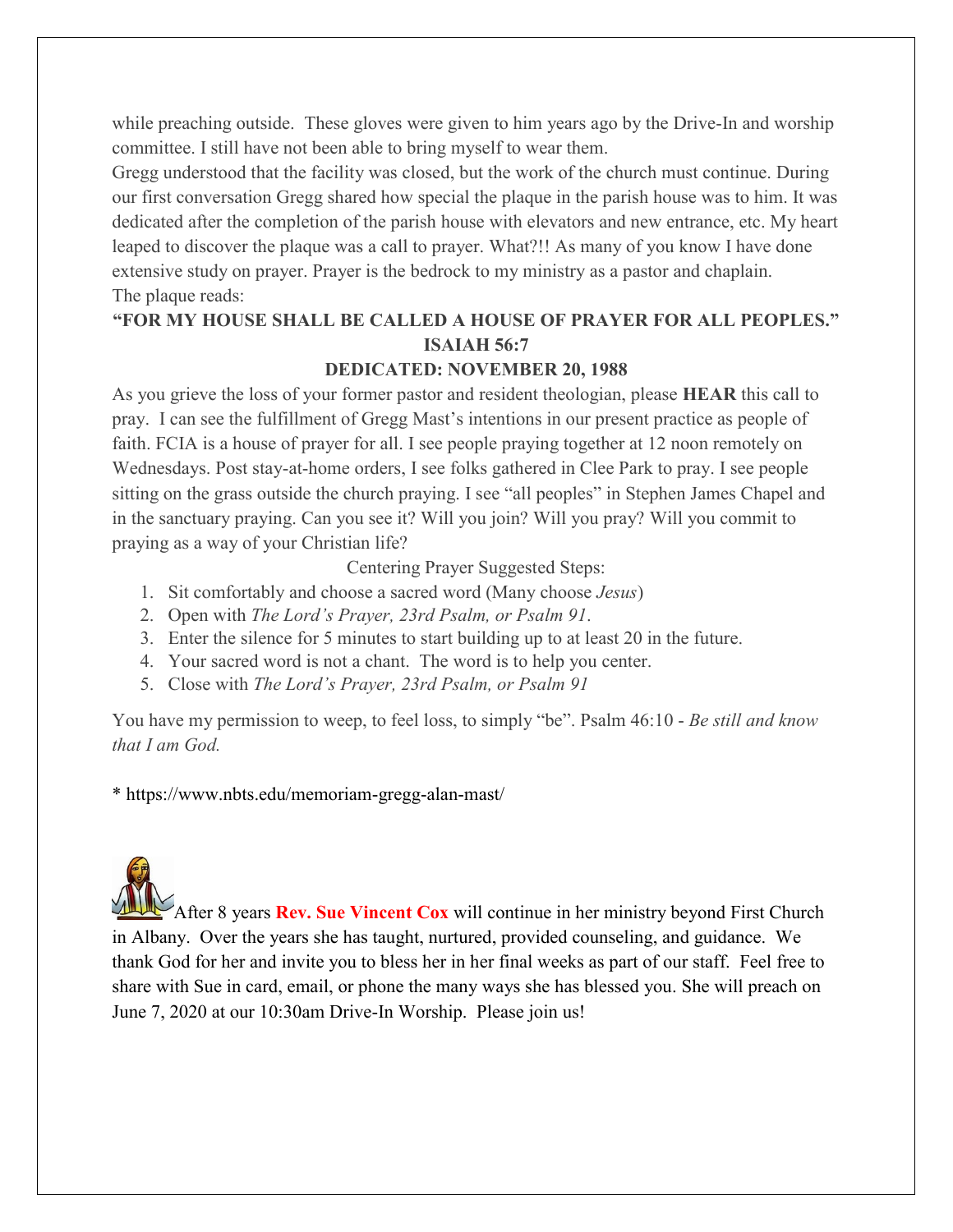while preaching outside. These gloves were given to him years ago by the Drive-In and worship committee. I still have not been able to bring myself to wear them.

Gregg understood that the facility was closed, but the work of the church must continue. During our first conversation Gregg shared how special the plaque in the parish house was to him. It was dedicated after the completion of the parish house with elevators and new entrance, etc. My heart leaped to discover the plaque was a call to prayer. What?!! As many of you know I have done extensive study on prayer. Prayer is the bedrock to my ministry as a pastor and chaplain. The plaque reads:

#### **"FOR MY HOUSE SHALL BE CALLED A HOUSE OF PRAYER FOR ALL PEOPLES." ISAIAH 56:7**

#### **DEDICATED: NOVEMBER 20, 1988**

As you grieve the loss of your former pastor and resident theologian, please **HEAR** this call to pray. I can see the fulfillment of Gregg Mast's intentions in our present practice as people of faith. FCIA is a house of prayer for all. I see people praying together at 12 noon remotely on Wednesdays. Post stay-at-home orders, I see folks gathered in Clee Park to pray. I see people sitting on the grass outside the church praying. I see "all peoples" in Stephen James Chapel and in the sanctuary praying. Can you see it? Will you join? Will you pray? Will you commit to praying as a way of your Christian life?

Centering Prayer Suggested Steps:

- 1. Sit comfortably and choose a sacred word (Many choose *Jesus*)
- 2. Open with *The Lord's Prayer, 23rd Psalm, or Psalm 91*.
- 3. Enter the silence for 5 minutes to start building up to at least 20 in the future.
- 4. Your sacred word is not a chant. The word is to help you center.
- 5. Close with *The Lord's Prayer, 23rd Psalm, or Psalm 91*

You have my permission to weep, to feel loss, to simply "be". Psalm 46:10 - *Be still and know that I am God.*

\* https://www.nbts.edu/memoriam-gregg-alan-mast/

After 8 years **Rev. Sue Vincent Cox** will continue in her ministry beyond First Church in Albany. Over the years she has taught, nurtured, provided counseling, and guidance. We thank God for her and invite you to bless her in her final weeks as part of our staff. Feel free to share with Sue in card, email, or phone the many ways she has blessed you. She will preach on June 7, 2020 at our 10:30am Drive-In Worship. Please join us!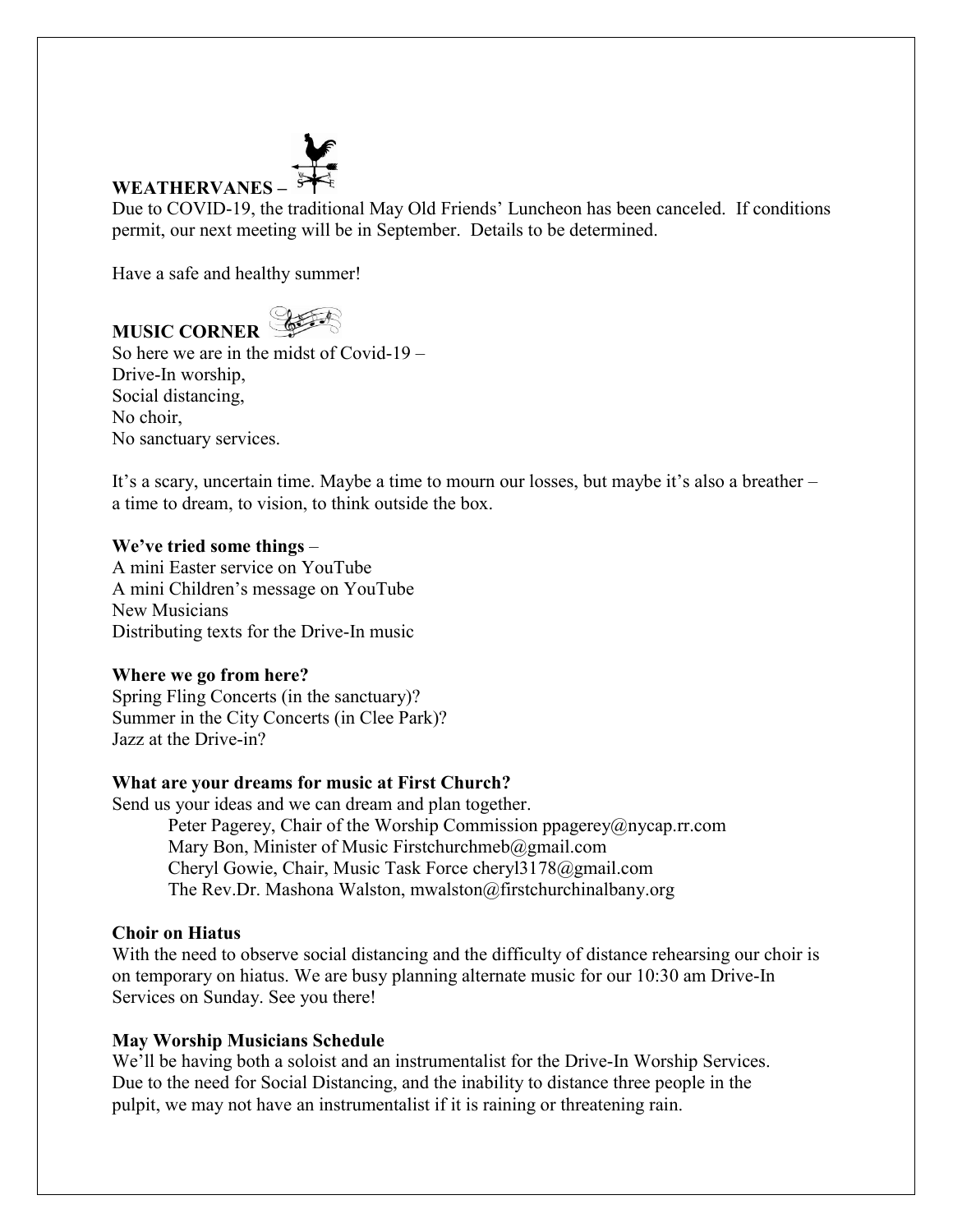## **WEATHERVANES –**

Due to COVID-19, the traditional May Old Friends' Luncheon has been canceled. If conditions permit, our next meeting will be in September. Details to be determined.

Have a safe and healthy summer!

**MUSIC CORNER** So here we are in the midst of Covid-19 – Drive-In worship, Social distancing, No choir, No sanctuary services.

It's a scary, uncertain time. Maybe a time to mourn our losses, but maybe it's also a breather – a time to dream, to vision, to think outside the box.

#### **We've tried some things** –

A mini Easter service on YouTube A mini Children's message on YouTube New Musicians Distributing texts for the Drive-In music

#### **Where we go from here?**

Spring Fling Concerts (in the sanctuary)? Summer in the City Concerts (in Clee Park)? Jazz at the Drive-in?

#### **What are your dreams for music at First Church?**

Send us your ideas and we can dream and plan together. Peter Pagerey, Chair of the Worship Commission ppagerey@nycap.rr.com Mary Bon, Minister of Music Firstchurchmeb@gmail.com Cheryl Gowie, Chair, Music Task Force cheryl3178@gmail.com The Rev.Dr. Mashona Walston, mwalston@firstchurchinalbany.org

#### **Choir on Hiatus**

With the need to observe social distancing and the difficulty of distance rehearsing our choir is on temporary on hiatus. We are busy planning alternate music for our 10:30 am Drive-In Services on Sunday. See you there!

#### **May Worship Musicians Schedule**

We'll be having both a soloist and an instrumentalist for the Drive-In Worship Services. Due to the need for Social Distancing, and the inability to distance three people in the pulpit, we may not have an instrumentalist if it is raining or threatening rain.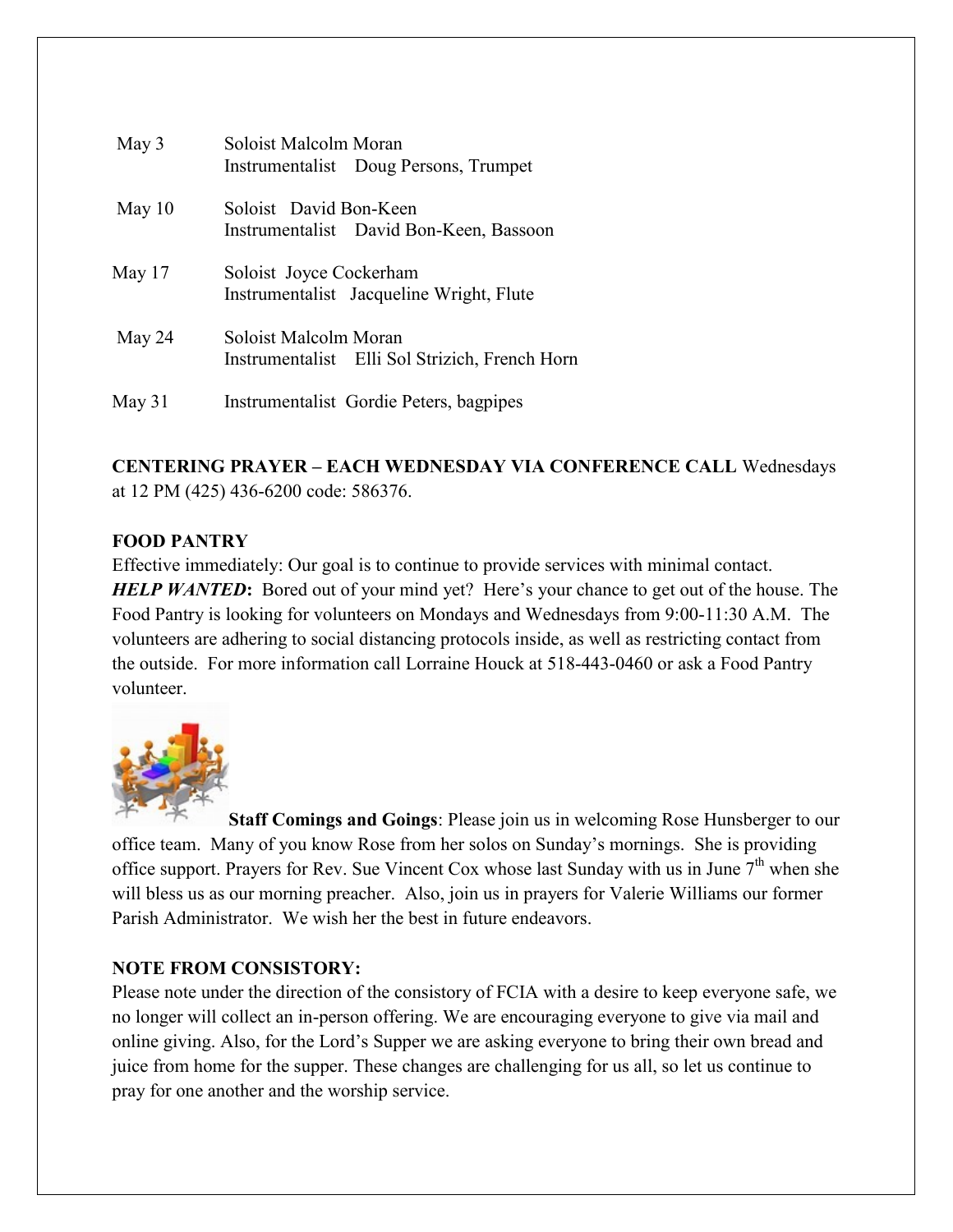| May 3    | Soloist Malcolm Moran   | Instrumentalist Doug Persons, Trumpet          |
|----------|-------------------------|------------------------------------------------|
| May $10$ | Soloist David Bon-Keen  | Instrumentalist David Bon-Keen, Bassoon        |
| May $17$ | Soloist Joyce Cockerham | Instrumentalist Jacqueline Wright, Flute       |
| May 24   | Soloist Malcolm Moran   | Instrumentalist Elli Sol Strizich, French Horn |
| May $31$ |                         | Instrumentalist Gordie Peters, bagpipes        |

#### **CENTERING PRAYER – EACH WEDNESDAY VIA CONFERENCE CALL** Wednesdays at 12 PM (425) 436-6200 code: 586376.

#### **FOOD PANTRY**

Effective immediately: Our goal is to continue to provide services with minimal contact. **HELP WANTED:** Bored out of your mind yet? Here's your chance to get out of the house. The Food Pantry is looking for volunteers on Mondays and Wednesdays from 9:00-11:30 A.M. The volunteers are adhering to social distancing protocols inside, as well as restricting contact from the outside. For more information call Lorraine Houck at 518-443-0460 or ask a Food Pantry volunteer.



**Staff Comings and Goings**: Please join us in welcoming Rose Hunsberger to our office team. Many of you know Rose from her solos on Sunday's mornings. She is providing office support. Prayers for Rev. Sue Vincent Cox whose last Sunday with us in June  $7<sup>th</sup>$  when she will bless us as our morning preacher. Also, join us in prayers for Valerie Williams our former Parish Administrator. We wish her the best in future endeavors.

#### **NOTE FROM CONSISTORY:**

Please note under the direction of the consistory of FCIA with a desire to keep everyone safe, we no longer will collect an in-person offering. We are encouraging everyone to give via mail and online giving. Also, for the Lord's Supper we are asking everyone to bring their own bread and juice from home for the supper. These changes are challenging for us all, so let us continue to pray for one another and the worship service.